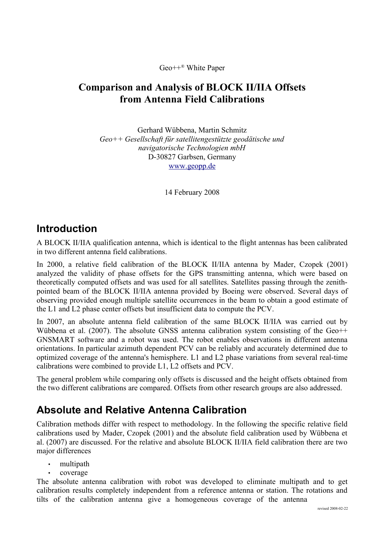Geo++® White Paper

### **Comparison and Analysis of BLOCK II/IIA Offsets from Antenna Field Calibrations**

Gerhard Wübbena, Martin Schmitz *Geo++ Gesellschaft für satellitengestützte geodätische und navigatorische Technologien mbH* D-30827 Garbsen, Germany [www.geopp.de](http://www.geopp.de/)

14 February 2008

## **Introduction**

A BLOCK II/IIA qualification antenna, which is identical to the flight antennas has been calibrated in two different antenna field calibrations.

In 2000, a relative field calibration of the BLOCK II/IIA antenna by Mader, Czopek (2001) analyzed the validity of phase offsets for the GPS transmitting antenna, which were based on theoretically computed offsets and was used for all satellites. Satellites passing through the zenithpointed beam of the BLOCK II/IIA antenna provided by Boeing were observed. Several days of observing provided enough multiple satellite occurrences in the beam to obtain a good estimate of the L1 and L2 phase center offsets but insufficient data to compute the PCV.

In 2007, an absolute antenna field calibration of the same BLOCK II/IIA was carried out by Wübbena et al. (2007). The absolute GNSS antenna calibration system consisting of the Geo++ GNSMART software and a robot was used. The robot enables observations in different antenna orientations. In particular azimuth dependent PCV can be reliably and accurately determined due to optimized coverage of the antenna's hemisphere. L1 and L2 phase variations from several real-time calibrations were combined to provide L1, L2 offsets and PCV.

The general problem while comparing only offsets is discussed and the height offsets obtained from the two different calibrations are compared. Offsets from other research groups are also addressed.

## **Absolute and Relative Antenna Calibration**

Calibration methods differ with respect to methodology. In the following the specific relative field calibrations used by Mader, Czopek (2001) and the absolute field calibration used by Wübbena et al. (2007) are discussed. For the relative and absolute BLOCK II/IIA field calibration there are two major differences

- multipath
- coverage

The absolute antenna calibration with robot was developed to eliminate multipath and to get calibration results completely independent from a reference antenna or station. The rotations and tilts of the calibration antenna give a homogeneous coverage of the antenna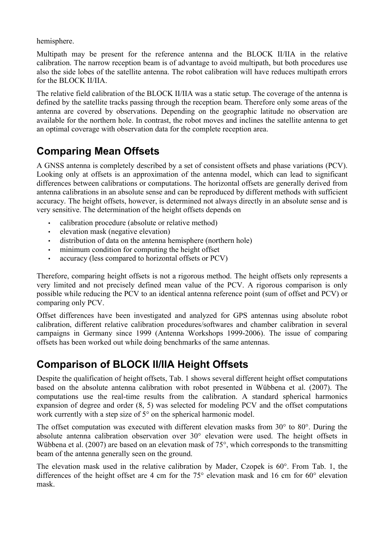hemisphere.

Multipath may be present for the reference antenna and the BLOCK II/IIA in the relative calibration. The narrow reception beam is of advantage to avoid multipath, but both procedures use also the side lobes of the satellite antenna. The robot calibration will have reduces multipath errors for the BLOCK II/IIA.

The relative field calibration of the BLOCK II/IIA was a static setup. The coverage of the antenna is defined by the satellite tracks passing through the reception beam. Therefore only some areas of the antenna are covered by observations. Depending on the geographic latitude no observation are available for the northern hole. In contrast, the robot moves and inclines the satellite antenna to get an optimal coverage with observation data for the complete reception area.

# **Comparing Mean Offsets**

A GNSS antenna is completely described by a set of consistent offsets and phase variations (PCV). Looking only at offsets is an approximation of the antenna model, which can lead to significant differences between calibrations or computations. The horizontal offsets are generally derived from antenna calibrations in an absolute sense and can be reproduced by different methods with sufficient accuracy. The height offsets, however, is determined not always directly in an absolute sense and is very sensitive. The determination of the height offsets depends on

- calibration procedure (absolute or relative method)
- elevation mask (negative elevation)
- distribution of data on the antenna hemisphere (northern hole)
- minimum condition for computing the height offset
- accuracy (less compared to horizontal offsets or PCV)

Therefore, comparing height offsets is not a rigorous method. The height offsets only represents a very limited and not precisely defined mean value of the PCV. A rigorous comparison is only possible while reducing the PCV to an identical antenna reference point (sum of offset and PCV) or comparing only PCV.

Offset differences have been investigated and analyzed for GPS antennas using absolute robot calibration, different relative calibration procedures/softwares and chamber calibration in several campaigns in Germany since 1999 (Antenna Workshops 1999-2006). The issue of comparing offsets has been worked out while doing benchmarks of the same antennas.

# **Comparison of BLOCK II/IIA Height Offsets**

Despite the qualification of height offsets, [Tab. 1](#page-2-0) shows several different height offset computations based on the absolute antenna calibration with robot presented in Wübbena et al. (2007). The computations use the real-time results from the calibration. A standard spherical harmonics expansion of degree and order (8, 5) was selected for modeling PCV and the offset computations work currently with a step size of 5° on the spherical harmonic model.

The offset computation was executed with different elevation masks from 30° to 80°. During the absolute antenna calibration observation over 30° elevation were used. The height offsets in Wübbena et al. (2007) are based on an elevation mask of 75°, which corresponds to the transmitting beam of the antenna generally seen on the ground.

The elevation mask used in the relative calibration by Mader, Czopek is 60°. From [Tab.](#page-2-0) 1, the differences of the height offset are 4 cm for the 75° elevation mask and 16 cm for 60° elevation mask.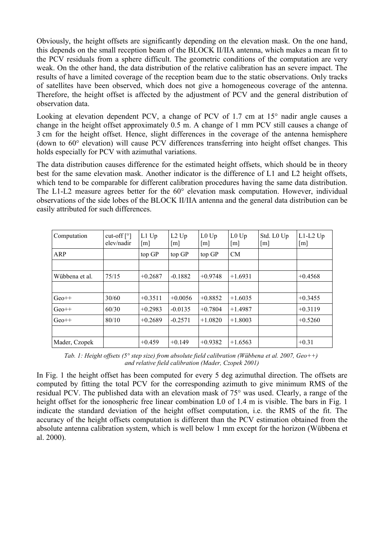Obviously, the height offsets are significantly depending on the elevation mask. On the one hand, this depends on the small reception beam of the BLOCK II/IIA antenna, which makes a mean fit to the PCV residuals from a sphere difficult. The geometric conditions of the computation are very weak. On the other hand, the data distribution of the relative calibration has an severe impact. The results of have a limited coverage of the reception beam due to the static observations. Only tracks of satellites have been observed, which does not give a homogeneous coverage of the antenna. Therefore, the height offset is affected by the adjustment of PCV and the general distribution of observation data.

Looking at elevation dependent PCV, a change of PCV of 1.7 cm at 15° nadir angle causes a change in the height offset approximately 0.5 m. A change of 1 mm PCV still causes a change of 3 cm for the height offset. Hence, slight differences in the coverage of the antenna hemisphere (down to 60° elevation) will cause PCV differences transferring into height offset changes. This holds especially for PCV with azimuthal variations.

The data distribution causes difference for the estimated height offsets, which should be in theory best for the same elevation mask. Another indicator is the difference of L1 and L2 height offsets, which tend to be comparable for different calibration procedures having the same data distribution. The L1-L2 measure agrees better for the 60° elevation mask computation. However, individual observations of the side lobes of the BLOCK II/IIA antenna and the general data distribution can be easily attributed for such differences.

| Computation    | cut-off $\lceil \circ \rceil$<br>elev/nadir | $L1$ Up<br>[m] | $L2$ Up<br>[m] | $L0$ Up<br>[m] | $L0$ Up<br>[m] | Std. L0 Up<br>[m] | $L1-L2$ Up<br>[m] |
|----------------|---------------------------------------------|----------------|----------------|----------------|----------------|-------------------|-------------------|
| ARP            |                                             | top GP         | top GP         | top GP         | <b>CM</b>      |                   |                   |
|                |                                             |                |                |                |                |                   |                   |
| Wübbena et al. | 75/15                                       | $+0.2687$      | $-0.1882$      | $+0.9748$      | $+1.6931$      |                   | $+0.4568$         |
|                |                                             |                |                |                |                |                   |                   |
| $Geo++$        | 30/60                                       | $+0.3511$      | $+0.0056$      | $+0.8852$      | $+1.6035$      |                   | $+0.3455$         |
| $Geo++$        | 60/30                                       | $+0.2983$      | $-0.0135$      | $+0.7804$      | $+1.4987$      |                   | $+0.3119$         |
| $Geo++$        | 80/10                                       | $+0.2689$      | $-0.2571$      | $+1.0820$      | $+1.8003$      |                   | $+0.5260$         |
|                |                                             |                |                |                |                |                   |                   |
| Mader, Czopek  |                                             | $+0.459$       | $+0.149$       | $+0.9382$      | $+1.6563$      |                   | $+0.31$           |

<span id="page-2-0"></span>*Tab. 1: Height offsets (5° step size) from absolute field calibration (Wübbena et al. 2007, Geo++) and relative field calibration (Mader, Czopek 2001)*

In [Fig.](#page-3-0) 1 the height offset has been computed for every 5 deg azimuthal direction. The offsets are computed by fitting the total PCV for the corresponding azimuth to give minimum RMS of the residual PCV. The published data with an elevation mask of 75° was used. Clearly, a range of the height offset for the ionospheric free linear combination L0 of 1.4 m is visible. The bars in [Fig.](#page-3-0) 1 indicate the standard deviation of the height offset computation, i.e. the RMS of the fit. The accuracy of the height offsets computation is different than the PCV estimation obtained from the absolute antenna calibration system, which is well below 1 mm except for the horizon (Wübbena et al. 2000).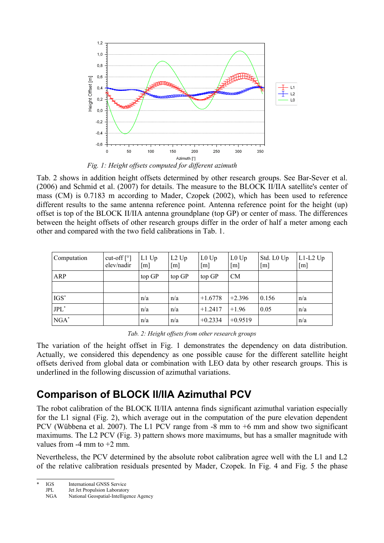

<span id="page-3-0"></span>[Tab.](#page-3-1) 2 shows in addition height offsets determined by other research groups. See Bar-Sever et al. (2006) and Schmid et al. (2007) for details. The measure to the BLOCK II/IIA satellite's center of mass (CM) is 0.7183 m according to Mader, Czopek (2002), which has been used to reference different results to the same antenna reference point. Antenna reference point for the height (up) offset is top of the BLOCK II/IIA antenna groundplane (top GP) or center of mass. The differences between the height offsets of other research groups differ in the order of half a meter among each other and compared with the two field calibrations in [Tab. 1.](#page-2-0)

| Computation | cut-off $\lceil \circ \rceil$<br>elev/nadir | $L1$ Up<br>$\lceil m \rceil$ | $L2$ Up<br>$\lceil m \rceil$ | $L0$ Up<br>[m] | $L0$ Up<br>$\lceil m \rceil$ | Std. L0 Up<br>$\lceil m \rceil$ | $L1-L2$ Up<br>[m] |
|-------------|---------------------------------------------|------------------------------|------------------------------|----------------|------------------------------|---------------------------------|-------------------|
| ARP         |                                             | top GP                       | top GP                       | top GP         | <b>CM</b>                    |                                 |                   |
|             |                                             |                              |                              |                |                              |                                 |                   |
| $IGS^*$     |                                             | n/a                          | n/a                          | $+1.6778$      | $+2.396$                     | 0.156                           | n/a               |
| $JPL^*$     |                                             | n/a                          | n/a                          | $+1.2417$      | $+1.96$                      | 0.05                            | n/a               |
| $NGA^*$     |                                             | n/a                          | n/a                          | $+0.2334$      | $+0.9519$                    |                                 | n/a               |

<span id="page-3-1"></span>*Tab. 2: Height offsets from other research groups*

The variation of the height offset in [Fig.](#page-3-0) 1 demonstrates the dependency on data distribution. Actually, we considered this dependency as one possible cause for the different satellite height offsets derived from global data or combination with LEO data by other research groups. This is underlined in the following discussion of azimuthal variations.

## **Comparison of BLOCK II/IIA Azimuthal PCV**

The robot calibration of the BLOCK II/IIA antenna finds significant azimuthal variation especially for the L1 signal [\(Fig.](#page-4-3) 2), which average out in the computation of the pure elevation dependent PCV (Wübbena et al. 2007). The L1 PCV range from -8 mm to +6 mm and show two significant maximums. The L2 PCV [\(Fig.](#page-4-2) 3) pattern shows more maximums, but has a smaller magnitude with values from  $-4$  mm to  $+2$  mm.

Nevertheless, the PCV determined by the absolute robot calibration agree well with the L1 and L2 of the relative calibration residuals presented by Mader, Czopek. In [Fig.](#page-4-1) 4 and [Fig.](#page-4-0) 5 the phase

IGS International GNSS Service<br>
JPL Jet Jet Propulsion Laborator

<span id="page-3-2"></span>JPL Jet Jet Propulsion Laboratory<br>NGA National Geospatial-Intellige

National Geospatial-Intelligence Agency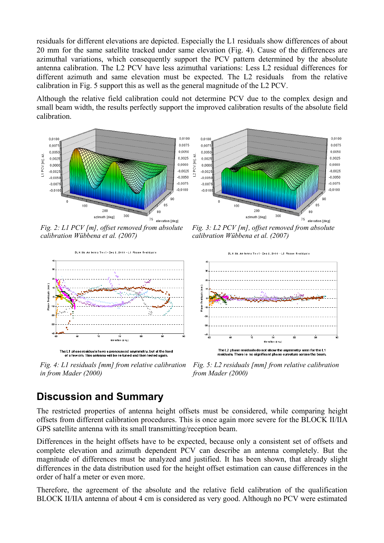residuals for different elevations are depicted. Especially the L1 residuals show differences of about 20 mm for the same satellite tracked under same elevation [\(Fig.](#page-4-1) 4). Cause of the differences are azimuthal variations, which consequently support the PCV pattern determined by the absolute antenna calibration. The L2 PCV have less azimuthal variations: Less L2 residual differences for different azimuth and same elevation must be expected. The L2 residuals from the relative calibration in [Fig. 5](#page-4-0) support this as well as the general magnitude of the L2 PCV.

Although the relative field calibration could not determine PCV due to the complex design and small beam width, the results perfectly support the improved calibration results of the absolute field calibration.





<span id="page-4-3"></span>*Fig. 2: L1 PCV [m], offset removed from absolute calibration Wübbena et al. (2007)*



<span id="page-4-1"></span>The L1 phase residuals have a pronounced asymmetry, but at the level of a few cm. This antenna will be re-tuned and then tested again

*Fig. 4: L1 residuals [mm] from relative calibration in from Mader (2000)*

<span id="page-4-2"></span>*Fig. 3: L2 PCV [m], offset removed from absolute calibration Wübbena et al. (2007)*



<span id="page-4-0"></span>*Fig. 5: L2 residuals [mm] from relative calibration from Mader (2000)*

# **Discussion and Summary**

The restricted properties of antenna height offsets must be considered, while comparing height offsets from different calibration procedures. This is once again more severe for the BLOCK II/IIA GPS satellite antenna with its small transmitting/reception beam.

Differences in the height offsets have to be expected, because only a consistent set of offsets and complete elevation and azimuth dependent PCV can describe an antenna completely. But the magnitude of differences must be analyzed and justified. It has been shown, that already slight differences in the data distribution used for the height offset estimation can cause differences in the order of half a meter or even more.

Therefore, the agreement of the absolute and the relative field calibration of the qualification BLOCK II/IIA antenna of about 4 cm is considered as very good. Although no PCV were estimated